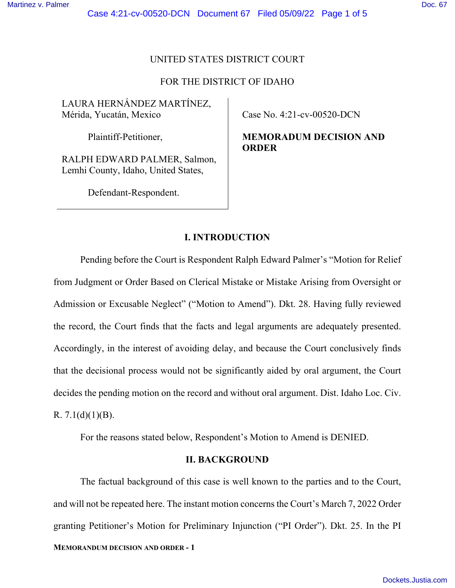### UNITED STATES DISTRICT COURT

# FOR THE DISTRICT OF IDAHO

LAURA HERNÁNDEZ MARTÍNEZ, Mérida, Yucatán, Mexico

Plaintiff-Petitioner,

RALPH EDWARD PALMER, Salmon, Lemhi County, Idaho, United States,

Defendant-Respondent.

Case No. 4:21-cv-00520-DCN

**MEMORADUM DECISION AND ORDER** 

# **I. INTRODUCTION**

Pending before the Court is Respondent Ralph Edward Palmer's "Motion for Relief from Judgment or Order Based on Clerical Mistake or Mistake Arising from Oversight or Admission or Excusable Neglect" ("Motion to Amend"). Dkt. 28. Having fully reviewed the record, the Court finds that the facts and legal arguments are adequately presented. Accordingly, in the interest of avoiding delay, and because the Court conclusively finds that the decisional process would not be significantly aided by oral argument, the Court decides the pending motion on the record and without oral argument. Dist. Idaho Loc. Civ. R.  $7.1(d)(1)(B)$ .

For the reasons stated below, Respondent's Motion to Amend is DENIED.

### **II. BACKGROUND**

**MEMORANDUM DECISION AND ORDER - 1**  The factual background of this case is well known to the parties and to the Court, and will not be repeated here. The instant motion concerns the Court's March 7, 2022 Order granting Petitioner's Motion for Preliminary Injunction ("PI Order"). Dkt. 25. In the PI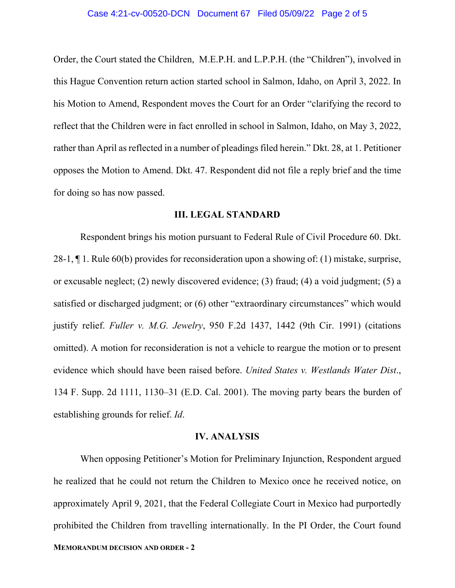#### Case 4:21-cv-00520-DCN Document 67 Filed 05/09/22 Page 2 of 5

Order, the Court stated the Children, M.E.P.H. and L.P.P.H. (the "Children"), involved in this Hague Convention return action started school in Salmon, Idaho, on April 3, 2022. In his Motion to Amend, Respondent moves the Court for an Order "clarifying the record to reflect that the Children were in fact enrolled in school in Salmon, Idaho, on May 3, 2022, rather than April as reflected in a number of pleadings filed herein." Dkt. 28, at 1. Petitioner opposes the Motion to Amend. Dkt. 47. Respondent did not file a reply brief and the time for doing so has now passed.

### **III. LEGAL STANDARD**

Respondent brings his motion pursuant to Federal Rule of Civil Procedure 60. Dkt. 28-1, ¶ 1. Rule 60(b) provides for reconsideration upon a showing of: (1) mistake, surprise, or excusable neglect; (2) newly discovered evidence; (3) fraud; (4) a void judgment; (5) a satisfied or discharged judgment; or (6) other "extraordinary circumstances" which would justify relief. *Fuller v. M.G. Jewelry*, 950 F.2d 1437, 1442 (9th Cir. 1991) (citations omitted). A motion for reconsideration is not a vehicle to reargue the motion or to present evidence which should have been raised before. *United States v. Westlands Water Dist*., 134 F. Supp. 2d 1111, 1130–31 (E.D. Cal. 2001). The moving party bears the burden of establishing grounds for relief. *Id*.

# **IV. ANALYSIS**

**MEMORANDUM DECISION AND ORDER - 2**  When opposing Petitioner's Motion for Preliminary Injunction, Respondent argued he realized that he could not return the Children to Mexico once he received notice, on approximately April 9, 2021, that the Federal Collegiate Court in Mexico had purportedly prohibited the Children from travelling internationally. In the PI Order, the Court found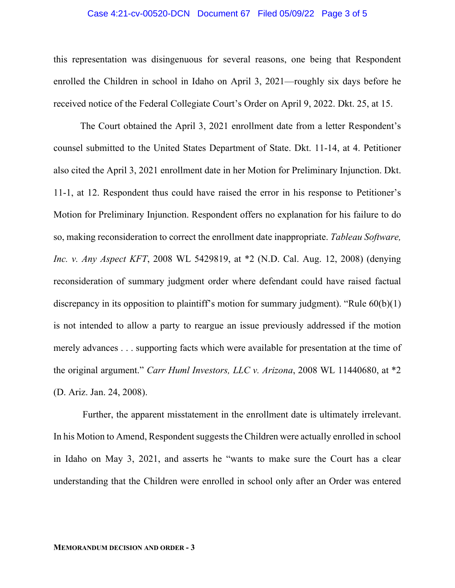#### Case 4:21-cv-00520-DCN Document 67 Filed 05/09/22 Page 3 of 5

this representation was disingenuous for several reasons, one being that Respondent enrolled the Children in school in Idaho on April 3, 2021—roughly six days before he received notice of the Federal Collegiate Court's Order on April 9, 2022. Dkt. 25, at 15.

The Court obtained the April 3, 2021 enrollment date from a letter Respondent's counsel submitted to the United States Department of State. Dkt. 11-14, at 4. Petitioner also cited the April 3, 2021 enrollment date in her Motion for Preliminary Injunction. Dkt. 11-1, at 12. Respondent thus could have raised the error in his response to Petitioner's Motion for Preliminary Injunction. Respondent offers no explanation for his failure to do so, making reconsideration to correct the enrollment date inappropriate. *Tableau Software, Inc. v. Any Aspect KFT*, 2008 WL 5429819, at \*2 (N.D. Cal. Aug. 12, 2008) (denying reconsideration of summary judgment order where defendant could have raised factual discrepancy in its opposition to plaintiff's motion for summary judgment). "Rule  $60(b)(1)$ is not intended to allow a party to reargue an issue previously addressed if the motion merely advances . . . supporting facts which were available for presentation at the time of the original argument." *Carr Huml Investors, LLC v. Arizona*, 2008 WL 11440680, at \*2 (D. Ariz. Jan. 24, 2008).

 Further, the apparent misstatement in the enrollment date is ultimately irrelevant. In his Motion to Amend, Respondent suggests the Children were actually enrolled in school in Idaho on May 3, 2021, and asserts he "wants to make sure the Court has a clear understanding that the Children were enrolled in school only after an Order was entered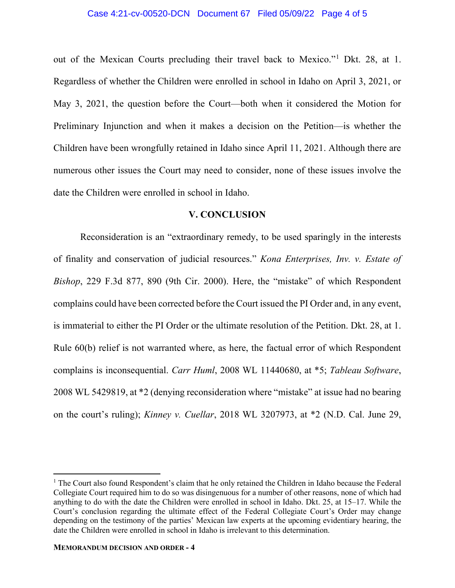#### Case 4:21-cv-00520-DCN Document 67 Filed 05/09/22 Page 4 of 5

out of the Mexican Courts precluding their travel back to Mexico."<sup>1</sup> Dkt. 28, at 1. Regardless of whether the Children were enrolled in school in Idaho on April 3, 2021, or May 3, 2021, the question before the Court—both when it considered the Motion for Preliminary Injunction and when it makes a decision on the Petition—is whether the Children have been wrongfully retained in Idaho since April 11, 2021. Although there are numerous other issues the Court may need to consider, none of these issues involve the date the Children were enrolled in school in Idaho.

### **V. CONCLUSION**

Reconsideration is an "extraordinary remedy, to be used sparingly in the interests of finality and conservation of judicial resources." *Kona Enterprises, Inv. v. Estate of Bishop*, 229 F.3d 877, 890 (9th Cir. 2000). Here, the "mistake" of which Respondent complains could have been corrected before the Court issued the PI Order and, in any event, is immaterial to either the PI Order or the ultimate resolution of the Petition. Dkt. 28, at 1. Rule 60(b) relief is not warranted where, as here, the factual error of which Respondent complains is inconsequential. *Carr Huml*, 2008 WL 11440680, at \*5; *Tableau Software*, 2008 WL 5429819, at \*2 (denying reconsideration where "mistake" at issue had no bearing on the court's ruling); *Kinney v. Cuellar*, 2018 WL 3207973, at \*2 (N.D. Cal. June 29,

<sup>&</sup>lt;sup>1</sup> The Court also found Respondent's claim that he only retained the Children in Idaho because the Federal Collegiate Court required him to do so was disingenuous for a number of other reasons, none of which had anything to do with the date the Children were enrolled in school in Idaho. Dkt. 25, at 15–17. While the Court's conclusion regarding the ultimate effect of the Federal Collegiate Court's Order may change depending on the testimony of the parties' Mexican law experts at the upcoming evidentiary hearing, the date the Children were enrolled in school in Idaho is irrelevant to this determination.